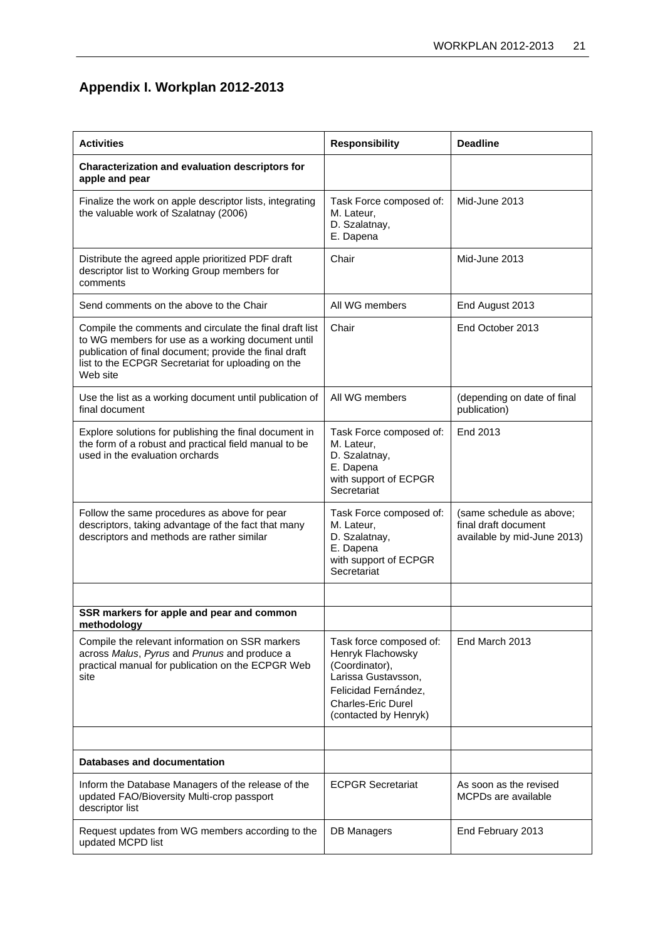## **Appendix I. Workplan 2012-2013**

| <b>Activities</b>                                                                                                                                                                                                                        | <b>Responsibility</b>                                                                                                                                               | <b>Deadline</b>                                                                 |
|------------------------------------------------------------------------------------------------------------------------------------------------------------------------------------------------------------------------------------------|---------------------------------------------------------------------------------------------------------------------------------------------------------------------|---------------------------------------------------------------------------------|
| Characterization and evaluation descriptors for<br>apple and pear                                                                                                                                                                        |                                                                                                                                                                     |                                                                                 |
| Finalize the work on apple descriptor lists, integrating<br>the valuable work of Szalatnay (2006)                                                                                                                                        | Task Force composed of:<br>M. Lateur,<br>D. Szalatnay,<br>E. Dapena                                                                                                 | Mid-June 2013                                                                   |
| Distribute the agreed apple prioritized PDF draft<br>descriptor list to Working Group members for<br>comments                                                                                                                            | Chair                                                                                                                                                               | Mid-June 2013                                                                   |
| Send comments on the above to the Chair                                                                                                                                                                                                  | All WG members                                                                                                                                                      | End August 2013                                                                 |
| Compile the comments and circulate the final draft list<br>to WG members for use as a working document until<br>publication of final document; provide the final draft<br>list to the ECPGR Secretariat for uploading on the<br>Web site | Chair                                                                                                                                                               | End October 2013                                                                |
| Use the list as a working document until publication of<br>final document                                                                                                                                                                | All WG members                                                                                                                                                      | (depending on date of final<br>publication)                                     |
| Explore solutions for publishing the final document in<br>the form of a robust and practical field manual to be<br>used in the evaluation orchards                                                                                       | Task Force composed of:<br>M. Lateur,<br>D. Szalatnay,<br>E. Dapena<br>with support of ECPGR<br>Secretariat                                                         | End 2013                                                                        |
| Follow the same procedures as above for pear<br>descriptors, taking advantage of the fact that many<br>descriptors and methods are rather similar                                                                                        | Task Force composed of:<br>M. Lateur,<br>D. Szalatnay,<br>E. Dapena<br>with support of ECPGR<br>Secretariat                                                         | (same schedule as above;<br>final draft document<br>available by mid-June 2013) |
|                                                                                                                                                                                                                                          |                                                                                                                                                                     |                                                                                 |
| SSR markers for apple and pear and common<br>methodology                                                                                                                                                                                 |                                                                                                                                                                     |                                                                                 |
| Compile the relevant information on SSR markers<br>across Malus, Pyrus and Prunus and produce a<br>practical manual for publication on the ECPGR Web<br>site                                                                             | Task force composed of:<br>Henryk Flachowsky<br>(Coordinator),<br>Larissa Gustavsson,<br>Felicidad Fernández.<br><b>Charles-Eric Durel</b><br>(contacted by Henryk) | End March 2013                                                                  |
|                                                                                                                                                                                                                                          |                                                                                                                                                                     |                                                                                 |
| Databases and documentation                                                                                                                                                                                                              |                                                                                                                                                                     |                                                                                 |
| Inform the Database Managers of the release of the<br>updated FAO/Bioversity Multi-crop passport<br>descriptor list                                                                                                                      | <b>ECPGR Secretariat</b>                                                                                                                                            | As soon as the revised<br>MCPDs are available                                   |
| Request updates from WG members according to the<br>updated MCPD list                                                                                                                                                                    | <b>DB Managers</b>                                                                                                                                                  | End February 2013                                                               |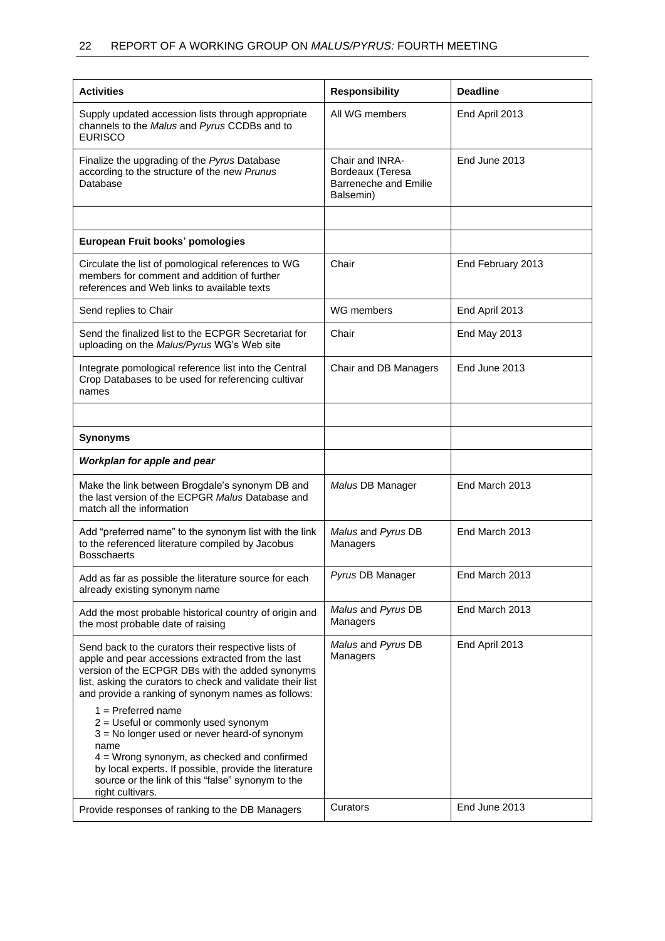| <b>Activities</b>                                                                                                                                                                                                                                                                                      | <b>Responsibility</b>                                                            | <b>Deadline</b>   |
|--------------------------------------------------------------------------------------------------------------------------------------------------------------------------------------------------------------------------------------------------------------------------------------------------------|----------------------------------------------------------------------------------|-------------------|
| Supply updated accession lists through appropriate<br>channels to the Malus and Pyrus CCDBs and to<br><b>EURISCO</b>                                                                                                                                                                                   | All WG members                                                                   | End April 2013    |
| Finalize the upgrading of the Pyrus Database<br>according to the structure of the new Prunus<br>Database                                                                                                                                                                                               | Chair and INRA-<br>Bordeaux (Teresa<br><b>Barreneche and Emilie</b><br>Balsemin) | End June 2013     |
|                                                                                                                                                                                                                                                                                                        |                                                                                  |                   |
| European Fruit books' pomologies                                                                                                                                                                                                                                                                       |                                                                                  |                   |
| Circulate the list of pomological references to WG<br>members for comment and addition of further<br>references and Web links to available texts                                                                                                                                                       | Chair                                                                            | End February 2013 |
| Send replies to Chair                                                                                                                                                                                                                                                                                  | WG members                                                                       | End April 2013    |
| Send the finalized list to the ECPGR Secretariat for<br>uploading on the Malus/Pyrus WG's Web site                                                                                                                                                                                                     | Chair                                                                            | End May 2013      |
| Integrate pomological reference list into the Central<br>Crop Databases to be used for referencing cultivar<br>names                                                                                                                                                                                   | Chair and DB Managers                                                            | End June 2013     |
|                                                                                                                                                                                                                                                                                                        |                                                                                  |                   |
| <b>Synonyms</b>                                                                                                                                                                                                                                                                                        |                                                                                  |                   |
| Workplan for apple and pear                                                                                                                                                                                                                                                                            |                                                                                  |                   |
| Make the link between Brogdale's synonym DB and<br>the last version of the ECPGR Malus Database and<br>match all the information                                                                                                                                                                       | Malus DB Manager                                                                 | End March 2013    |
| Add "preferred name" to the synonym list with the link<br>to the referenced literature compiled by Jacobus<br><b>Bosschaerts</b>                                                                                                                                                                       | Malus and Pyrus DB<br>Managers                                                   | End March 2013    |
| Add as far as possible the literature source for each<br>already existing synonym name                                                                                                                                                                                                                 | Pyrus DB Manager                                                                 | End March 2013    |
| Add the most probable historical country of origin and<br>the most probable date of raising                                                                                                                                                                                                            | Malus and Pyrus DB<br>Managers                                                   | End March 2013    |
| Send back to the curators their respective lists of<br>apple and pear accessions extracted from the last<br>version of the ECPGR DBs with the added synonyms<br>list, asking the curators to check and validate their list<br>and provide a ranking of synonym names as follows:                       | Malus and Pyrus DB<br>Managers                                                   | End April 2013    |
| $1 =$ Preferred name<br>2 = Useful or commonly used synonym<br>3 = No longer used or never heard-of synonym<br>name<br>$4$ = Wrong synonym, as checked and confirmed<br>by local experts. If possible, provide the literature<br>source or the link of this "false" synonym to the<br>right cultivars. |                                                                                  |                   |
| Provide responses of ranking to the DB Managers                                                                                                                                                                                                                                                        | Curators                                                                         | End June 2013     |